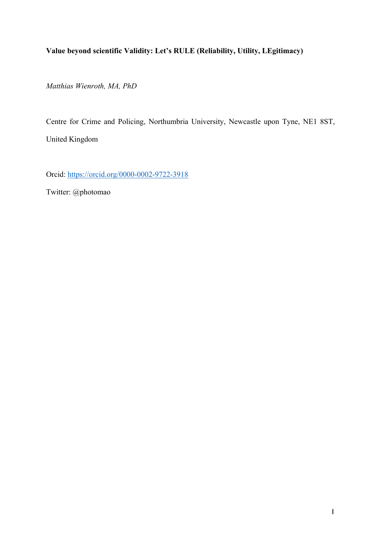# **Value beyond scientific Validity: Let's RULE (Reliability, Utility, LEgitimacy)**

*Matthias Wienroth, MA, PhD*

Centre for Crime and Policing, Northumbria University, Newcastle upon Tyne, NE1 8ST, United Kingdom

Orcid: https://orcid.org/0000-0002-9722-3918

Twitter: @photomao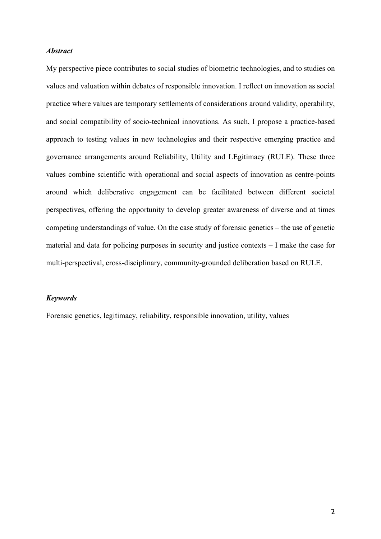## *Abstract*

My perspective piece contributes to social studies of biometric technologies, and to studies on values and valuation within debates of responsible innovation. I reflect on innovation as social practice where values are temporary settlements of considerations around validity, operability, and social compatibility of socio-technical innovations. As such, I propose a practice-based approach to testing values in new technologies and their respective emerging practice and governance arrangements around Reliability, Utility and LEgitimacy (RULE). These three values combine scientific with operational and social aspects of innovation as centre-points around which deliberative engagement can be facilitated between different societal perspectives, offering the opportunity to develop greater awareness of diverse and at times competing understandings of value. On the case study of forensic genetics – the use of genetic material and data for policing purposes in security and justice contexts – I make the case for multi-perspectival, cross-disciplinary, community-grounded deliberation based on RULE.

### *Keywords*

Forensic genetics, legitimacy, reliability, responsible innovation, utility, values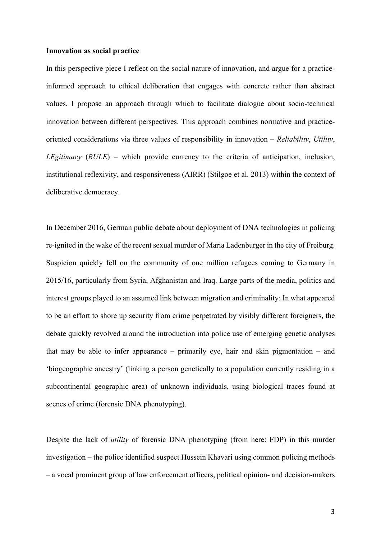#### **Innovation as social practice**

In this perspective piece I reflect on the social nature of innovation, and argue for a practiceinformed approach to ethical deliberation that engages with concrete rather than abstract values. I propose an approach through which to facilitate dialogue about socio-technical innovation between different perspectives. This approach combines normative and practiceoriented considerations via three values of responsibility in innovation – *Reliability*, *Utility*, *LEgitimacy* (*RULE*) – which provide currency to the criteria of anticipation, inclusion, institutional reflexivity, and responsiveness (AIRR) (Stilgoe et al. 2013) within the context of deliberative democracy.

In December 2016, German public debate about deployment of DNA technologies in policing re-ignited in the wake of the recent sexual murder of Maria Ladenburger in the city of Freiburg. Suspicion quickly fell on the community of one million refugees coming to Germany in 2015/16, particularly from Syria, Afghanistan and Iraq. Large parts of the media, politics and interest groups played to an assumed link between migration and criminality: In what appeared to be an effort to shore up security from crime perpetrated by visibly different foreigners, the debate quickly revolved around the introduction into police use of emerging genetic analyses that may be able to infer appearance – primarily eye, hair and skin pigmentation – and 'biogeographic ancestry' (linking a person genetically to a population currently residing in a subcontinental geographic area) of unknown individuals, using biological traces found at scenes of crime (forensic DNA phenotyping).

Despite the lack of *utility* of forensic DNA phenotyping (from here: FDP) in this murder investigation – the police identified suspect Hussein Khavari using common policing methods – a vocal prominent group of law enforcement officers, political opinion- and decision-makers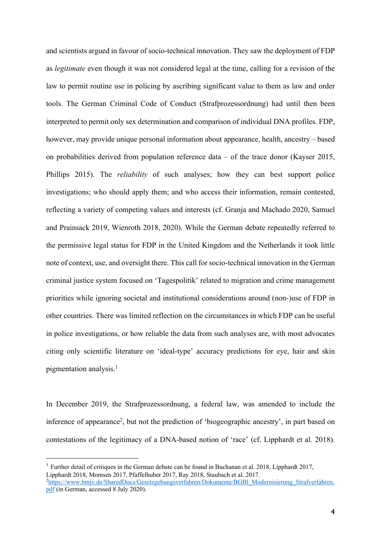and scientists argued in favour of socio-technical innovation. They saw the deployment of FDP as *legitimate* even though it was not considered legal at the time, calling for a revision of the law to permit routine use in policing by ascribing significant value to them as law and order tools. The German Criminal Code of Conduct (Strafprozessordnung) had until then been interpreted to permit only sex determination and comparison of individual DNA profiles. FDP, however, may provide unique personal information about appearance, health, ancestry – based on probabilities derived from population reference data – of the trace donor (Kayser 2015, Phillips 2015). The *reliability* of such analyses; how they can best support police investigations; who should apply them; and who access their information, remain contested, reflecting a variety of competing values and interests (cf. Granja and Machado 2020, Samuel and Prainsack 2019, Wienroth 2018, 2020). While the German debate repeatedly referred to the permissive legal status for FDP in the United Kingdom and the Netherlands it took little note of context, use, and oversight there. This call for socio-technical innovation in the German criminal justice system focused on 'Tagespolitik' related to migration and crime management priorities while ignoring societal and institutional considerations around (non-)use of FDP in other countries. There was limited reflection on the circumstances in which FDP can be useful in police investigations, or how reliable the data from such analyses are, with most advocates citing only scientific literature on 'ideal-type' accuracy predictions for eye, hair and skin pigmentation analysis. 1

In December 2019, the Strafprozessordnung, a federal law, was amended to include the inference of appearance<sup>2</sup>, but not the prediction of 'biogeographic ancestry', in part based on contestations of the legitimacy of a DNA-based notion of 'race' (cf. Lipphardt et al. 2018).

<sup>&</sup>lt;sup>1</sup> Further detail of critiques in the German debate can be found in Buchanan et al. 2018, Lipphardt 2017, Lipphardt 2018, Momsen 2017, Pfaffelhuber 2017, Ray 2018, Staubach et al. 2017.

<sup>&</sup>lt;sup>2</sup>https://www.bmjv.de/SharedDocs/Gesetzgebungsverfahren/Dokumente/BGBl\_Modernisierung\_Strafverfahren. pdf (in German, accessed 8 July 2020).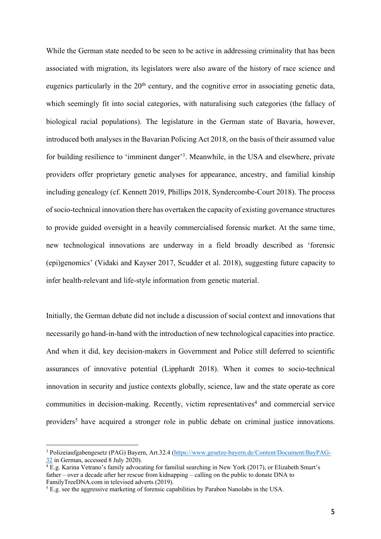While the German state needed to be seen to be active in addressing criminality that has been associated with migration, its legislators were also aware of the history of race science and eugenics particularly in the 20<sup>th</sup> century, and the cognitive error in associating genetic data, which seemingly fit into social categories, with naturalising such categories (the fallacy of biological racial populations). The legislature in the German state of Bavaria, however, introduced both analyses in the Bavarian Policing Act 2018, on the basis of their assumed value for building resilience to 'imminent danger'3. Meanwhile, in the USA and elsewhere, private providers offer proprietary genetic analyses for appearance, ancestry, and familial kinship including genealogy (cf. Kennett 2019, Phillips 2018, Syndercombe-Court 2018). The process of socio-technical innovation there has overtaken the capacity of existing governance structures to provide guided oversight in a heavily commercialised forensic market. At the same time, new technological innovations are underway in a field broadly described as 'forensic (epi)genomics' (Vidaki and Kayser 2017, Scudder et al. 2018), suggesting future capacity to infer health-relevant and life-style information from genetic material.

Initially, the German debate did not include a discussion of social context and innovations that necessarily go hand-in-hand with the introduction of new technological capacities into practice. And when it did, key decision-makers in Government and Police still deferred to scientific assurances of innovative potential (Lipphardt 2018). When it comes to socio-technical innovation in security and justice contexts globally, science, law and the state operate as core communities in decision-making. Recently, victim representatives<sup>4</sup> and commercial service providers<sup>5</sup> have acquired a stronger role in public debate on criminal justice innovations.

<sup>3</sup> Polizeiaufgabengesetz (PAG) Bayern, Art.32.4 (https://www.gesetze-bayern.de/Content/Document/BayPAG-32 in German, accessed 8 July 2020).

 $\frac{4}{4}$  E.g. Karina Vetrano's family advocating for familial searching in New York (2017), or Elizabeth Smart's father – over a decade after her rescue from kidnapping – calling on the public to donate DNA to FamilyTreeDNA.com in televised adverts (2019).

<sup>5</sup> E.g. see the aggressive marketing of forensic capabilities by Parabon Nanolabs in the USA.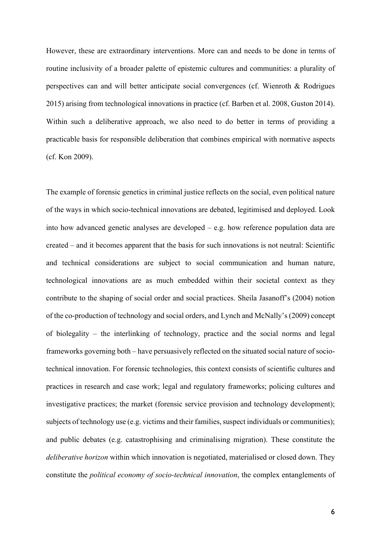However, these are extraordinary interventions. More can and needs to be done in terms of routine inclusivity of a broader palette of epistemic cultures and communities: a plurality of perspectives can and will better anticipate social convergences (cf. Wienroth & Rodrigues 2015) arising from technological innovations in practice (cf. Barben et al. 2008, Guston 2014). Within such a deliberative approach, we also need to do better in terms of providing a practicable basis for responsible deliberation that combines empirical with normative aspects (cf. Kon 2009).

The example of forensic genetics in criminal justice reflects on the social, even political nature of the ways in which socio-technical innovations are debated, legitimised and deployed. Look into how advanced genetic analyses are developed – e.g. how reference population data are created – and it becomes apparent that the basis for such innovations is not neutral: Scientific and technical considerations are subject to social communication and human nature, technological innovations are as much embedded within their societal context as they contribute to the shaping of social order and social practices. Sheila Jasanoff's (2004) notion of the co-production of technology and social orders, and Lynch and McNally's (2009) concept of biolegality – the interlinking of technology, practice and the social norms and legal frameworks governing both – have persuasively reflected on the situated social nature of sociotechnical innovation. For forensic technologies, this context consists of scientific cultures and practices in research and case work; legal and regulatory frameworks; policing cultures and investigative practices; the market (forensic service provision and technology development); subjects of technology use (e.g. victims and their families, suspect individuals or communities); and public debates (e.g. catastrophising and criminalising migration). These constitute the *deliberative horizon* within which innovation is negotiated, materialised or closed down. They constitute the *political economy of socio-technical innovation*, the complex entanglements of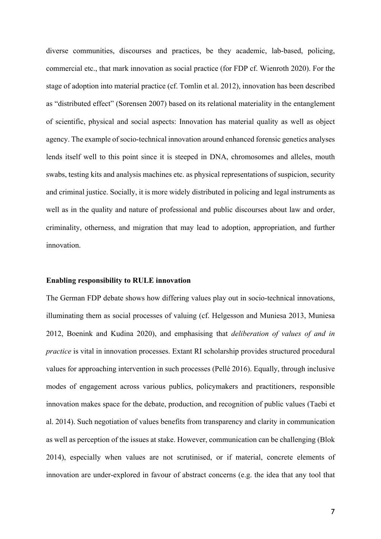diverse communities, discourses and practices, be they academic, lab-based, policing, commercial etc., that mark innovation as social practice (for FDP cf. Wienroth 2020). For the stage of adoption into material practice (cf. Tomlin et al. 2012), innovation has been described as "distributed effect" (Sorensen 2007) based on its relational materiality in the entanglement of scientific, physical and social aspects: Innovation has material quality as well as object agency. The example of socio-technical innovation around enhanced forensic genetics analyses lends itself well to this point since it is steeped in DNA, chromosomes and alleles, mouth swabs, testing kits and analysis machines etc. as physical representations of suspicion, security and criminal justice. Socially, it is more widely distributed in policing and legal instruments as well as in the quality and nature of professional and public discourses about law and order, criminality, otherness, and migration that may lead to adoption, appropriation, and further innovation.

#### **Enabling responsibility to RULE innovation**

The German FDP debate shows how differing values play out in socio-technical innovations, illuminating them as social processes of valuing (cf. Helgesson and Muniesa 2013, Muniesa 2012, Boenink and Kudina 2020), and emphasising that *deliberation of values of and in practice* is vital in innovation processes. Extant RI scholarship provides structured procedural values for approaching intervention in such processes (Pellé 2016). Equally, through inclusive modes of engagement across various publics, policymakers and practitioners, responsible innovation makes space for the debate, production, and recognition of public values (Taebi et al. 2014). Such negotiation of values benefits from transparency and clarity in communication as well as perception of the issues at stake. However, communication can be challenging (Blok 2014), especially when values are not scrutinised, or if material, concrete elements of innovation are under-explored in favour of abstract concerns (e.g. the idea that any tool that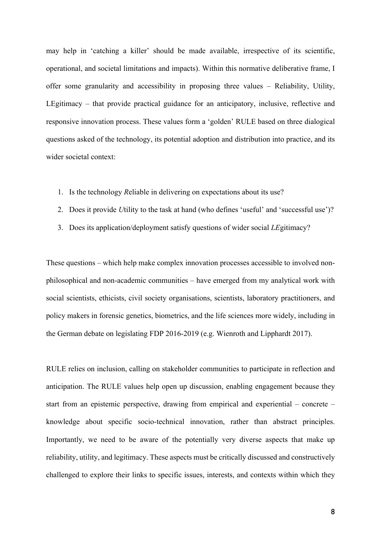may help in 'catching a killer' should be made available, irrespective of its scientific, operational, and societal limitations and impacts). Within this normative deliberative frame, I offer some granularity and accessibility in proposing three values – Reliability, Utility, LEgitimacy – that provide practical guidance for an anticipatory, inclusive, reflective and responsive innovation process. These values form a 'golden' RULE based on three dialogical questions asked of the technology, its potential adoption and distribution into practice, and its wider societal context:

- 1. Is the technology *R*eliable in delivering on expectations about its use?
- 2. Does it provide *U*tility to the task at hand (who defines 'useful' and 'successful use')?
- 3. Does its application/deployment satisfy questions of wider social *LE*gitimacy?

These questions – which help make complex innovation processes accessible to involved nonphilosophical and non-academic communities – have emerged from my analytical work with social scientists, ethicists, civil society organisations, scientists, laboratory practitioners, and policy makers in forensic genetics, biometrics, and the life sciences more widely, including in the German debate on legislating FDP 2016-2019 (e.g. Wienroth and Lipphardt 2017).

RULE relies on inclusion, calling on stakeholder communities to participate in reflection and anticipation. The RULE values help open up discussion, enabling engagement because they start from an epistemic perspective, drawing from empirical and experiential – concrete – knowledge about specific socio-technical innovation, rather than abstract principles. Importantly, we need to be aware of the potentially very diverse aspects that make up reliability, utility, and legitimacy. These aspects must be critically discussed and constructively challenged to explore their links to specific issues, interests, and contexts within which they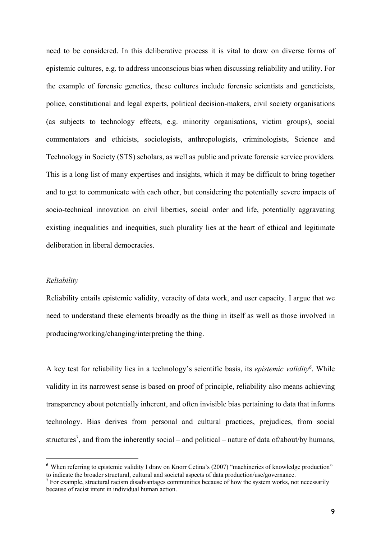need to be considered. In this deliberative process it is vital to draw on diverse forms of epistemic cultures, e.g. to address unconscious bias when discussing reliability and utility. For the example of forensic genetics, these cultures include forensic scientists and geneticists, police, constitutional and legal experts, political decision-makers, civil society organisations (as subjects to technology effects, e.g. minority organisations, victim groups), social commentators and ethicists, sociologists, anthropologists, criminologists, Science and Technology in Society (STS) scholars, as well as public and private forensic service providers. This is a long list of many expertises and insights, which it may be difficult to bring together and to get to communicate with each other, but considering the potentially severe impacts of socio-technical innovation on civil liberties, social order and life, potentially aggravating existing inequalities and inequities, such plurality lies at the heart of ethical and legitimate deliberation in liberal democracies.

## *Reliability*

Reliability entails epistemic validity, veracity of data work, and user capacity. I argue that we need to understand these elements broadly as the thing in itself as well as those involved in producing/working/changing/interpreting the thing.

A key test for reliability lies in a technology's scientific basis, its *epistemic validity6*. While validity in its narrowest sense is based on proof of principle, reliability also means achieving transparency about potentially inherent, and often invisible bias pertaining to data that informs technology. Bias derives from personal and cultural practices, prejudices, from social structures<sup>7</sup>, and from the inherently social – and political – nature of data of/about/by humans,

<sup>&</sup>lt;sup>6</sup> When referring to epistemic validity I draw on Knorr Cetina's (2007) "machineries of knowledge production" to indicate the broader structural, cultural and societal aspects of data production/use/governance.

 $<sup>7</sup>$  For example, structural racism disadvantages communities because of how the system works, not necessarily</sup> because of racist intent in individual human action.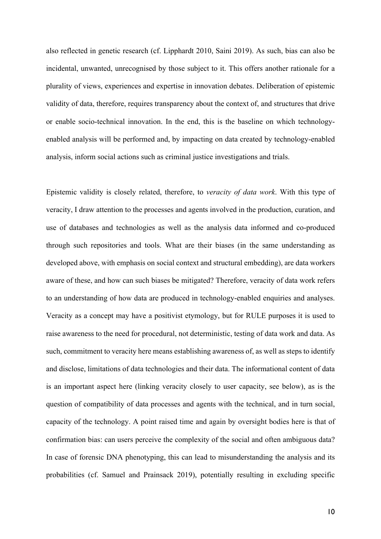also reflected in genetic research (cf. Lipphardt 2010, Saini 2019). As such, bias can also be incidental, unwanted, unrecognised by those subject to it. This offers another rationale for a plurality of views, experiences and expertise in innovation debates. Deliberation of epistemic validity of data, therefore, requires transparency about the context of, and structures that drive or enable socio-technical innovation. In the end, this is the baseline on which technologyenabled analysis will be performed and, by impacting on data created by technology-enabled analysis, inform social actions such as criminal justice investigations and trials.

Epistemic validity is closely related, therefore, to *veracity of data work*. With this type of veracity, I draw attention to the processes and agents involved in the production, curation, and use of databases and technologies as well as the analysis data informed and co-produced through such repositories and tools. What are their biases (in the same understanding as developed above, with emphasis on social context and structural embedding), are data workers aware of these, and how can such biases be mitigated? Therefore, veracity of data work refers to an understanding of how data are produced in technology-enabled enquiries and analyses. Veracity as a concept may have a positivist etymology, but for RULE purposes it is used to raise awareness to the need for procedural, not deterministic, testing of data work and data. As such, commitment to veracity here means establishing awareness of, as well as steps to identify and disclose, limitations of data technologies and their data. The informational content of data is an important aspect here (linking veracity closely to user capacity, see below), as is the question of compatibility of data processes and agents with the technical, and in turn social, capacity of the technology. A point raised time and again by oversight bodies here is that of confirmation bias: can users perceive the complexity of the social and often ambiguous data? In case of forensic DNA phenotyping, this can lead to misunderstanding the analysis and its probabilities (cf. Samuel and Prainsack 2019), potentially resulting in excluding specific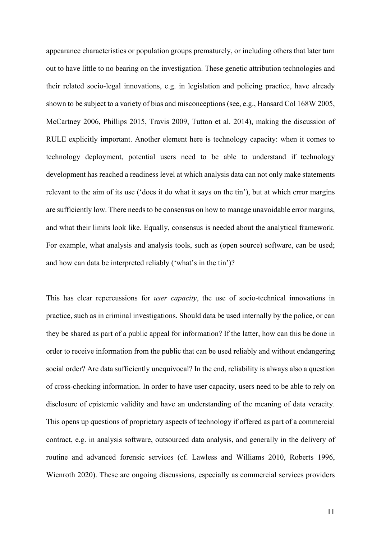appearance characteristics or population groups prematurely, or including others that later turn out to have little to no bearing on the investigation. These genetic attribution technologies and their related socio-legal innovations, e.g. in legislation and policing practice, have already shown to be subject to a variety of bias and misconceptions (see, e.g., Hansard Col 168W 2005, McCartney 2006, Phillips 2015, Travis 2009, Tutton et al. 2014), making the discussion of RULE explicitly important. Another element here is technology capacity: when it comes to technology deployment, potential users need to be able to understand if technology development has reached a readiness level at which analysis data can not only make statements relevant to the aim of its use ('does it do what it says on the tin'), but at which error margins are sufficiently low. There needs to be consensus on how to manage unavoidable error margins, and what their limits look like. Equally, consensus is needed about the analytical framework. For example, what analysis and analysis tools, such as (open source) software, can be used; and how can data be interpreted reliably ('what's in the tin')?

This has clear repercussions for *user capacity*, the use of socio-technical innovations in practice, such as in criminal investigations. Should data be used internally by the police, or can they be shared as part of a public appeal for information? If the latter, how can this be done in order to receive information from the public that can be used reliably and without endangering social order? Are data sufficiently unequivocal? In the end, reliability is always also a question of cross-checking information. In order to have user capacity, users need to be able to rely on disclosure of epistemic validity and have an understanding of the meaning of data veracity. This opens up questions of proprietary aspects of technology if offered as part of a commercial contract, e.g. in analysis software, outsourced data analysis, and generally in the delivery of routine and advanced forensic services (cf. Lawless and Williams 2010, Roberts 1996, Wienroth 2020). These are ongoing discussions, especially as commercial services providers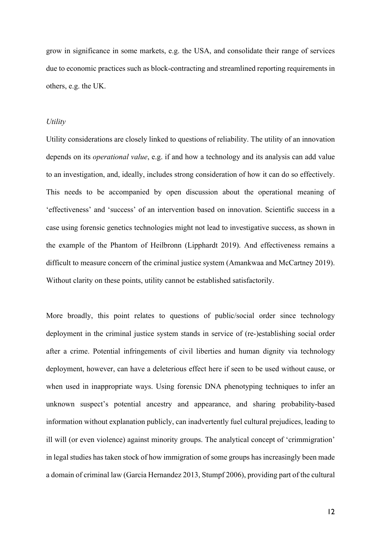grow in significance in some markets, e.g. the USA, and consolidate their range of services due to economic practices such as block-contracting and streamlined reporting requirements in others, e.g. the UK.

### *Utility*

Utility considerations are closely linked to questions of reliability. The utility of an innovation depends on its *operational value*, e.g. if and how a technology and its analysis can add value to an investigation, and, ideally, includes strong consideration of how it can do so effectively. This needs to be accompanied by open discussion about the operational meaning of 'effectiveness' and 'success' of an intervention based on innovation. Scientific success in a case using forensic genetics technologies might not lead to investigative success, as shown in the example of the Phantom of Heilbronn (Lipphardt 2019). And effectiveness remains a difficult to measure concern of the criminal justice system (Amankwaa and McCartney 2019). Without clarity on these points, utility cannot be established satisfactorily.

More broadly, this point relates to questions of public/social order since technology deployment in the criminal justice system stands in service of (re-)establishing social order after a crime. Potential infringements of civil liberties and human dignity via technology deployment, however, can have a deleterious effect here if seen to be used without cause, or when used in inappropriate ways. Using forensic DNA phenotyping techniques to infer an unknown suspect's potential ancestry and appearance, and sharing probability-based information without explanation publicly, can inadvertently fuel cultural prejudices, leading to ill will (or even violence) against minority groups. The analytical concept of 'crimmigration' in legal studies has taken stock of how immigration of some groups has increasingly been made a domain of criminal law (Garcia Hernandez 2013, Stumpf 2006), providing part of the cultural

12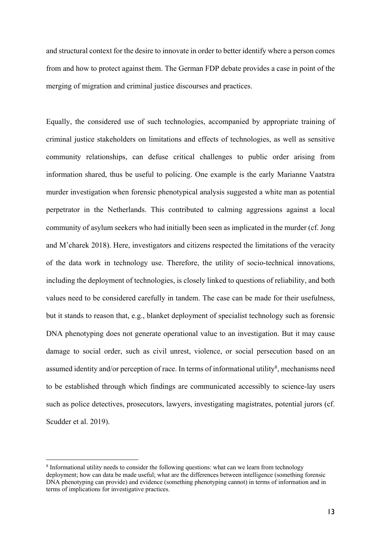and structural context for the desire to innovate in order to better identify where a person comes from and how to protect against them. The German FDP debate provides a case in point of the merging of migration and criminal justice discourses and practices.

Equally, the considered use of such technologies, accompanied by appropriate training of criminal justice stakeholders on limitations and effects of technologies, as well as sensitive community relationships, can defuse critical challenges to public order arising from information shared, thus be useful to policing. One example is the early Marianne Vaatstra murder investigation when forensic phenotypical analysis suggested a white man as potential perpetrator in the Netherlands. This contributed to calming aggressions against a local community of asylum seekers who had initially been seen as implicated in the murder (cf. Jong and M'charek 2018). Here, investigators and citizens respected the limitations of the veracity of the data work in technology use. Therefore, the utility of socio-technical innovations, including the deployment of technologies, is closely linked to questions of reliability, and both values need to be considered carefully in tandem. The case can be made for their usefulness, but it stands to reason that, e.g., blanket deployment of specialist technology such as forensic DNA phenotyping does not generate operational value to an investigation. But it may cause damage to social order, such as civil unrest, violence, or social persecution based on an assumed identity and/or perception of race. In terms of informational utility<sup>8</sup>, mechanisms need to be established through which findings are communicated accessibly to science-lay users such as police detectives, prosecutors, lawyers, investigating magistrates, potential jurors (cf. Scudder et al. 2019).

<sup>8</sup> Informational utility needs to consider the following questions: what can we learn from technology deployment; how can data be made useful; what are the differences between intelligence (something forensic DNA phenotyping can provide) and evidence (something phenotyping cannot) in terms of information and in terms of implications for investigative practices.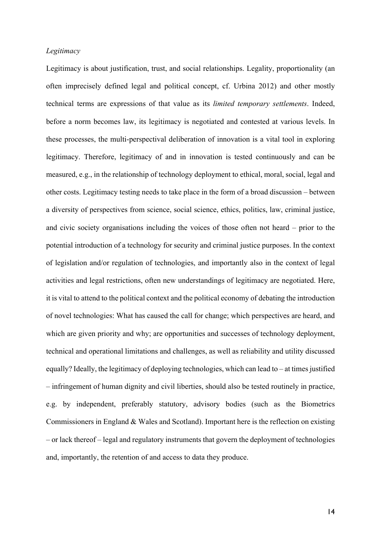## *Legitimacy*

Legitimacy is about justification, trust, and social relationships. Legality, proportionality (an often imprecisely defined legal and political concept, cf. Urbina 2012) and other mostly technical terms are expressions of that value as its *limited temporary settlements*. Indeed, before a norm becomes law, its legitimacy is negotiated and contested at various levels. In these processes, the multi-perspectival deliberation of innovation is a vital tool in exploring legitimacy. Therefore, legitimacy of and in innovation is tested continuously and can be measured, e.g., in the relationship of technology deployment to ethical, moral, social, legal and other costs. Legitimacy testing needs to take place in the form of a broad discussion – between a diversity of perspectives from science, social science, ethics, politics, law, criminal justice, and civic society organisations including the voices of those often not heard – prior to the potential introduction of a technology for security and criminal justice purposes. In the context of legislation and/or regulation of technologies, and importantly also in the context of legal activities and legal restrictions, often new understandings of legitimacy are negotiated. Here, it is vital to attend to the political context and the political economy of debating the introduction of novel technologies: What has caused the call for change; which perspectives are heard, and which are given priority and why; are opportunities and successes of technology deployment, technical and operational limitations and challenges, as well as reliability and utility discussed equally? Ideally, the legitimacy of deploying technologies, which can lead to – at times justified – infringement of human dignity and civil liberties, should also be tested routinely in practice, e.g. by independent, preferably statutory, advisory bodies (such as the Biometrics Commissioners in England & Wales and Scotland). Important here is the reflection on existing – or lack thereof – legal and regulatory instruments that govern the deployment of technologies and, importantly, the retention of and access to data they produce.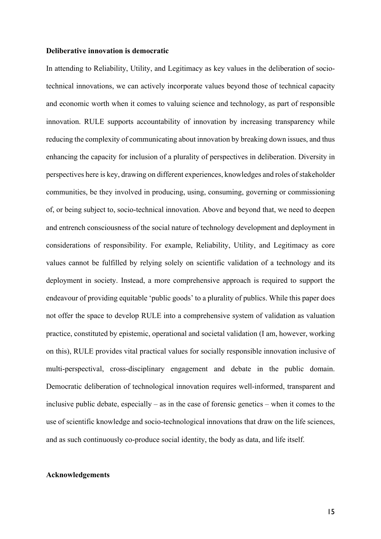#### **Deliberative innovation is democratic**

In attending to Reliability, Utility, and Legitimacy as key values in the deliberation of sociotechnical innovations, we can actively incorporate values beyond those of technical capacity and economic worth when it comes to valuing science and technology, as part of responsible innovation. RULE supports accountability of innovation by increasing transparency while reducing the complexity of communicating about innovation by breaking down issues, and thus enhancing the capacity for inclusion of a plurality of perspectives in deliberation. Diversity in perspectives here is key, drawing on different experiences, knowledges and roles of stakeholder communities, be they involved in producing, using, consuming, governing or commissioning of, or being subject to, socio-technical innovation. Above and beyond that, we need to deepen and entrench consciousness of the social nature of technology development and deployment in considerations of responsibility. For example, Reliability, Utility, and Legitimacy as core values cannot be fulfilled by relying solely on scientific validation of a technology and its deployment in society. Instead, a more comprehensive approach is required to support the endeavour of providing equitable 'public goods' to a plurality of publics. While this paper does not offer the space to develop RULE into a comprehensive system of validation as valuation practice, constituted by epistemic, operational and societal validation (I am, however, working on this), RULE provides vital practical values for socially responsible innovation inclusive of multi-perspectival, cross-disciplinary engagement and debate in the public domain. Democratic deliberation of technological innovation requires well-informed, transparent and inclusive public debate, especially – as in the case of forensic genetics – when it comes to the use of scientific knowledge and socio-technological innovations that draw on the life sciences, and as such continuously co-produce social identity, the body as data, and life itself.

### **Acknowledgements**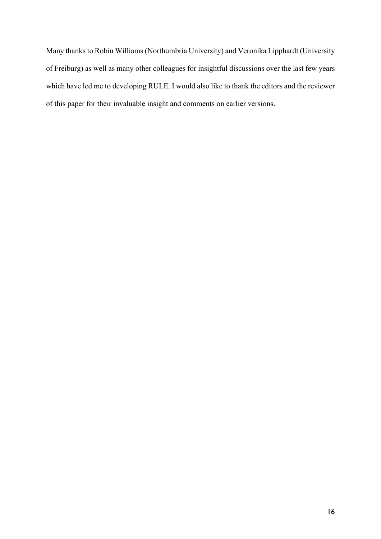Many thanks to Robin Williams (Northumbria University) and Veronika Lipphardt (University of Freiburg) as well as many other colleagues for insightful discussions over the last few years which have led me to developing RULE. I would also like to thank the editors and the reviewer of this paper for their invaluable insight and comments on earlier versions.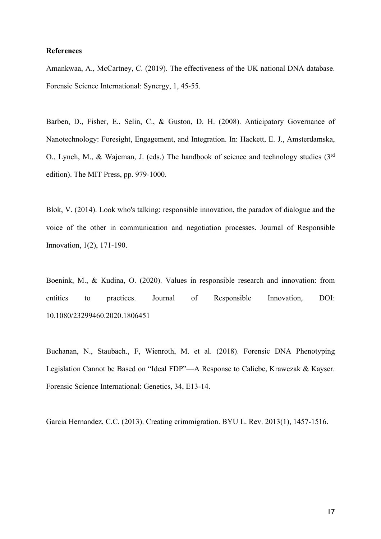## **References**

Amankwaa, A., McCartney, C. (2019). The effectiveness of the UK national DNA database. Forensic Science International: Synergy, 1, 45-55.

Barben, D., Fisher, E., Selin, C., & Guston, D. H. (2008). Anticipatory Governance of Nanotechnology: Foresight, Engagement, and Integration. In: Hackett, E. J., Amsterdamska, O., Lynch, M., & Wajcman, J. (eds.) The handbook of science and technology studies (3rd edition). The MIT Press, pp. 979-1000.

Blok, V. (2014). Look who's talking: responsible innovation, the paradox of dialogue and the voice of the other in communication and negotiation processes. Journal of Responsible Innovation, 1(2), 171-190.

Boenink, M., & Kudina, O. (2020). Values in responsible research and innovation: from entities to practices. Journal of Responsible Innovation, DOI: 10.1080/23299460.2020.1806451

Buchanan, N., Staubach., F, Wienroth, M. et al. (2018). Forensic DNA Phenotyping Legislation Cannot be Based on "Ideal FDP"—A Response to Caliebe, Krawczak & Kayser. Forensic Science International: Genetics, 34, E13-14.

Garcia Hernandez, C.C. (2013). Creating crimmigration. BYU L. Rev. 2013(1), 1457-1516.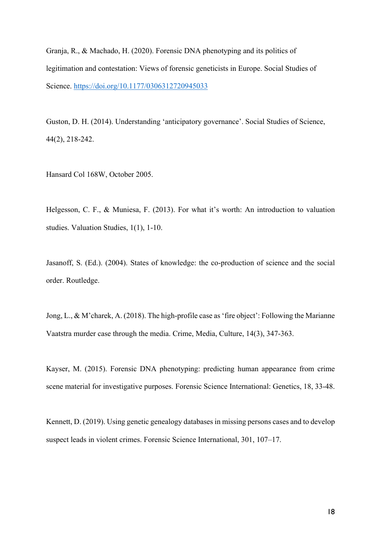Granja, R., & Machado, H. (2020). Forensic DNA phenotyping and its politics of legitimation and contestation: Views of forensic geneticists in Europe. Social Studies of Science. https://doi.org/10.1177/0306312720945033

Guston, D. H. (2014). Understanding 'anticipatory governance'. Social Studies of Science, 44(2), 218-242.

Hansard Col 168W, October 2005.

Helgesson, C. F., & Muniesa, F. (2013). For what it's worth: An introduction to valuation studies. Valuation Studies, 1(1), 1-10.

Jasanoff, S. (Ed.). (2004). States of knowledge: the co-production of science and the social order. Routledge.

Jong, L., & M'charek, A. (2018). The high-profile case as 'fire object': Following the Marianne Vaatstra murder case through the media. Crime, Media, Culture, 14(3), 347-363.

Kayser, M. (2015). Forensic DNA phenotyping: predicting human appearance from crime scene material for investigative purposes. Forensic Science International: Genetics, 18, 33-48.

Kennett, D. (2019). Using genetic genealogy databases in missing persons cases and to develop suspect leads in violent crimes. Forensic Science International, 301, 107–17.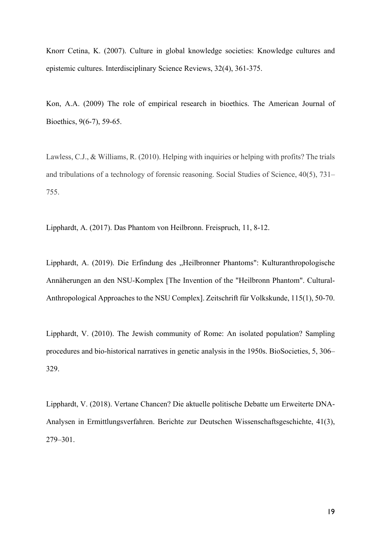Knorr Cetina, K. (2007). Culture in global knowledge societies: Knowledge cultures and epistemic cultures. Interdisciplinary Science Reviews, 32(4), 361-375.

Kon, A.A. (2009) The role of empirical research in bioethics. The American Journal of Bioethics, 9(6-7), 59-65.

Lawless, C.J., & Williams, R. (2010). Helping with inquiries or helping with profits? The trials and tribulations of a technology of forensic reasoning. Social Studies of Science, 40(5), 731– 755.

Lipphardt, A. (2017). Das Phantom von Heilbronn. Freispruch, 11, 8-12.

Lipphardt, A. (2019). Die Erfindung des "Heilbronner Phantoms": Kulturanthropologische Annäherungen an den NSU-Komplex [The Invention of the "Heilbronn Phantom". Cultural-Anthropological Approaches to the NSU Complex]. Zeitschrift für Volkskunde, 115(1), 50-70.

Lipphardt, V. (2010). The Jewish community of Rome: An isolated population? Sampling procedures and bio-historical narratives in genetic analysis in the 1950s. BioSocieties, 5, 306– 329.

Lipphardt, V. (2018). Vertane Chancen? Die aktuelle politische Debatte um Erweiterte DNA‐ Analysen in Ermittlungsverfahren. Berichte zur Deutschen Wissenschaftsgeschichte, 41(3), 279–301.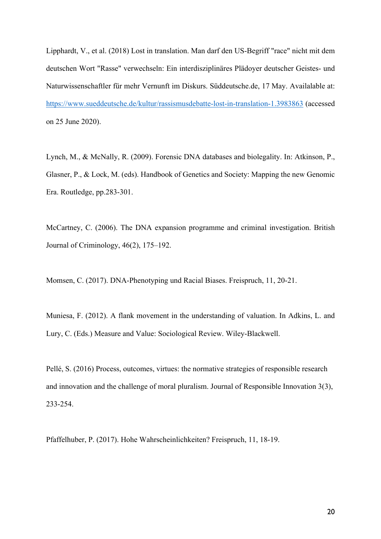Lipphardt, V., et al. (2018) Lost in translation. Man darf den US-Begriff "race" nicht mit dem deutschen Wort "Rasse" verwechseln: Ein interdisziplinäres Plädoyer deutscher Geistes- und Naturwissenschaftler für mehr Vernunft im Diskurs. Süddeutsche.de, 17 May. Availalable at: https://www.sueddeutsche.de/kultur/rassismusdebatte-lost-in-translation-1.3983863 (accessed on 25 June 2020).

Lynch, M., & McNally, R. (2009). Forensic DNA databases and biolegality. In: Atkinson, P., Glasner, P., & Lock, M. (eds). Handbook of Genetics and Society: Mapping the new Genomic Era. Routledge, pp.283-301.

McCartney, C. (2006). The DNA expansion programme and criminal investigation. British Journal of Criminology, 46(2), 175–192.

Momsen, C. (2017). DNA-Phenotyping und Racial Biases. Freispruch, 11, 20-21.

Muniesa, F. (2012). A flank movement in the understanding of valuation. In Adkins, L. and Lury, C. (Eds.) Measure and Value: Sociological Review. Wiley-Blackwell.

Pellé, S. (2016) Process, outcomes, virtues: the normative strategies of responsible research and innovation and the challenge of moral pluralism. Journal of Responsible Innovation 3(3), 233-254.

Pfaffelhuber, P. (2017). Hohe Wahrscheinlichkeiten? Freispruch, 11, 18-19.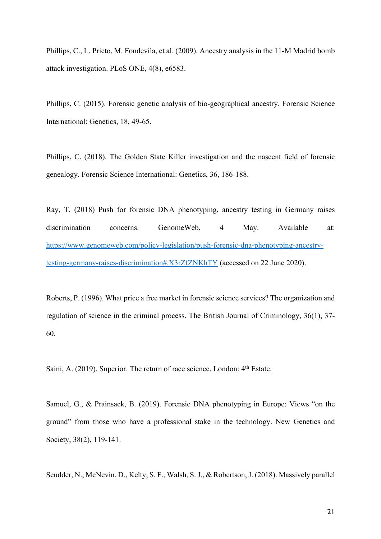Phillips, C., L. Prieto, M. Fondevila, et al. (2009). Ancestry analysis in the 11-M Madrid bomb attack investigation. PLoS ONE, 4(8), e6583.

Phillips, C. (2015). Forensic genetic analysis of bio-geographical ancestry. Forensic Science International: Genetics, 18, 49-65.

Phillips, C. (2018). The Golden State Killer investigation and the nascent field of forensic genealogy. Forensic Science International: Genetics, 36, 186-188.

Ray, T. (2018) Push for forensic DNA phenotyping, ancestry testing in Germany raises discrimination concerns. GenomeWeb, 4 May. Available at: https://www.genomeweb.com/policy-legislation/push-forensic-dna-phenotyping-ancestrytesting-germany-raises-discrimination#.X3rZfZNKhTY (accessed on 22 June 2020).

Roberts, P. (1996). What price a free market in forensic science services? The organization and regulation of science in the criminal process. The British Journal of Criminology, 36(1), 37- 60.

Saini, A. (2019). Superior. The return of race science. London:  $4<sup>th</sup>$  Estate.

Samuel, G., & Prainsack, B. (2019). Forensic DNA phenotyping in Europe: Views "on the ground" from those who have a professional stake in the technology. New Genetics and Society, 38(2), 119-141.

Scudder, N., McNevin, D., Kelty, S. F., Walsh, S. J., & Robertson, J. (2018). Massively parallel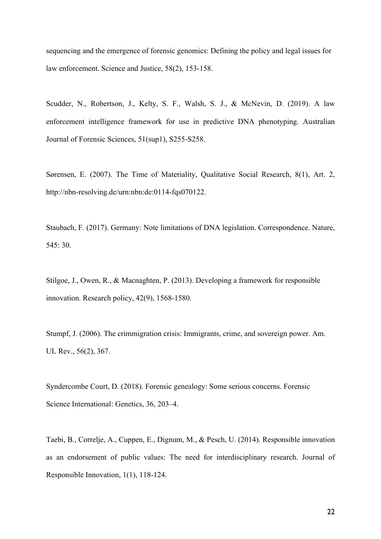sequencing and the emergence of forensic genomics: Defining the policy and legal issues for law enforcement. Science and Justice, 58(2), 153-158.

Scudder, N., Robertson, J., Kelty, S. F., Walsh, S. J., & McNevin, D. (2019). A law enforcement intelligence framework for use in predictive DNA phenotyping. Australian Journal of Forensic Sciences, 51(sup1), S255-S258.

Sørensen, E. (2007). The Time of Materiality, Qualitative Social Research, 8(1), Art. 2, http://nbn-resolving.de/urn:nbn:de:0114-fqs070122.

Staubach, F. (2017). Germany: Note limitations of DNA legislation. Correspondence. Nature, 545: 30.

Stilgoe, J., Owen, R., & Macnaghten, P. (2013). Developing a framework for responsible innovation. Research policy, 42(9), 1568-1580.

Stumpf, J. (2006). The crimmigration crisis: Immigrants, crime, and sovereign power. Am. UL Rev., 56(2), 367.

Syndercombe Court, D. (2018). Forensic genealogy: Some serious concerns. Forensic Science International: Genetics, 36, 203–4.

Taebi, B., Correlje, A., Cuppen, E., Dignum, M., & Pesch, U. (2014). Responsible innovation as an endorsement of public values: The need for interdisciplinary research. Journal of Responsible Innovation, 1(1), 118-124.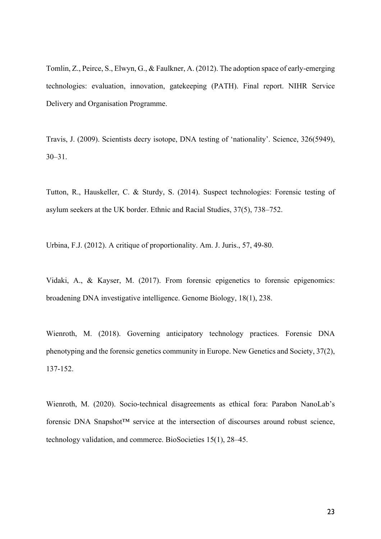Tomlin, Z., Peirce, S., Elwyn, G., & Faulkner, A. (2012). The adoption space of early-emerging technologies: evaluation, innovation, gatekeeping (PATH). Final report. NIHR Service Delivery and Organisation Programme.

Travis, J. (2009). Scientists decry isotope, DNA testing of 'nationality'. Science, 326(5949), 30–31.

Tutton, R., Hauskeller, C. & Sturdy, S. (2014). Suspect technologies: Forensic testing of asylum seekers at the UK border. Ethnic and Racial Studies, 37(5), 738–752.

Urbina, F.J. (2012). A critique of proportionality. Am. J. Juris., 57, 49-80.

Vidaki, A., & Kayser, M. (2017). From forensic epigenetics to forensic epigenomics: broadening DNA investigative intelligence. Genome Biology, 18(1), 238.

Wienroth, M. (2018). Governing anticipatory technology practices. Forensic DNA phenotyping and the forensic genetics community in Europe. New Genetics and Society, 37(2), 137-152.

Wienroth, M. (2020). Socio-technical disagreements as ethical fora: Parabon NanoLab's forensic DNA Snapshot™ service at the intersection of discourses around robust science, technology validation, and commerce. BioSocieties 15(1), 28–45.